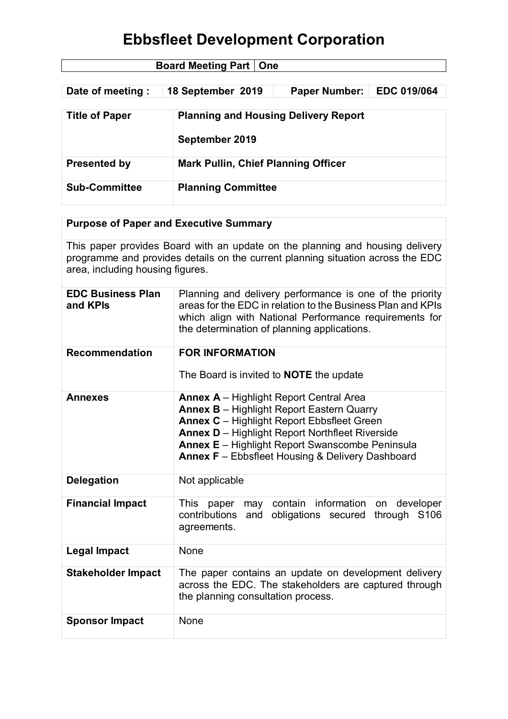| <b>Board Meeting Part   One</b> |                           |                                             |                    |  |
|---------------------------------|---------------------------|---------------------------------------------|--------------------|--|
|                                 |                           |                                             |                    |  |
| Date of meeting:                | 18 September 2019         | <b>Paper Number:</b>                        | <b>EDC 019/064</b> |  |
|                                 |                           |                                             |                    |  |
| <b>Title of Paper</b>           |                           | <b>Planning and Housing Delivery Report</b> |                    |  |
|                                 | September 2019            |                                             |                    |  |
| <b>Presented by</b>             |                           | <b>Mark Pullin, Chief Planning Officer</b>  |                    |  |
| <b>Sub-Committee</b>            | <b>Planning Committee</b> |                                             |                    |  |

### **Purpose of Paper and Executive Summary**

This paper provides Board with an update on the planning and housing delivery programme and provides details on the current planning situation across the EDC area, including housing figures.

| <b>EDC Business Plan</b><br>and KPIs | Planning and delivery performance is one of the priority<br>areas for the EDC in relation to the Business Plan and KPIs<br>which align with National Performance requirements for<br>the determination of planning applications.                                                                                                       |  |  |
|--------------------------------------|----------------------------------------------------------------------------------------------------------------------------------------------------------------------------------------------------------------------------------------------------------------------------------------------------------------------------------------|--|--|
| <b>Recommendation</b>                | <b>FOR INFORMATION</b><br>The Board is invited to <b>NOTE</b> the update                                                                                                                                                                                                                                                               |  |  |
| <b>Annexes</b>                       | <b>Annex A</b> - Highlight Report Central Area<br><b>Annex B</b> - Highlight Report Eastern Quarry<br><b>Annex C</b> - Highlight Report Ebbsfleet Green<br><b>Annex D</b> - Highlight Report Northfleet Riverside<br><b>Annex E</b> – Highlight Report Swanscombe Peninsula<br><b>Annex F</b> - Ebbsfleet Housing & Delivery Dashboard |  |  |
| <b>Delegation</b>                    | Not applicable                                                                                                                                                                                                                                                                                                                         |  |  |
| <b>Financial Impact</b>              | may contain information on developer<br>This paper<br>contributions<br>and obligations secured through S106<br>agreements.                                                                                                                                                                                                             |  |  |
| <b>Legal Impact</b>                  | None                                                                                                                                                                                                                                                                                                                                   |  |  |
| <b>Stakeholder Impact</b>            | The paper contains an update on development delivery<br>across the EDC. The stakeholders are captured through<br>the planning consultation process.                                                                                                                                                                                    |  |  |
| <b>Sponsor Impact</b>                | None                                                                                                                                                                                                                                                                                                                                   |  |  |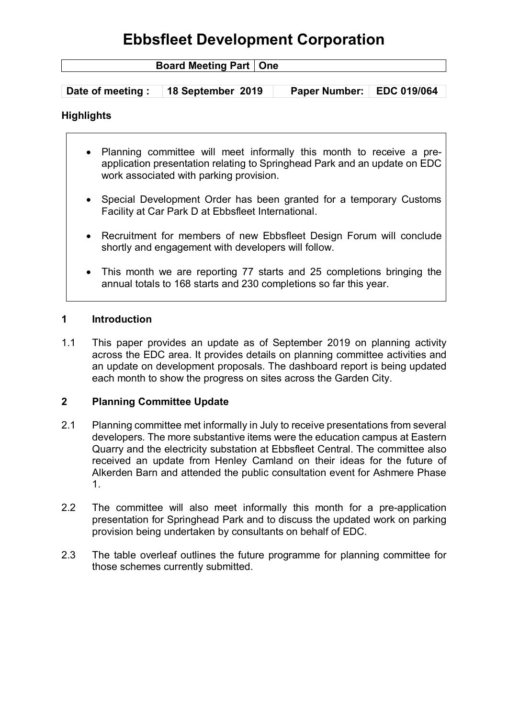| <b>Board Meeting Part   One</b> |                   |                             |  |
|---------------------------------|-------------------|-----------------------------|--|
|                                 |                   |                             |  |
| Date of meeting:                | 18 September 2019 | Paper Number:   EDC 019/064 |  |

### **Highlights**

- Planning committee will meet informally this month to receive a preapplication presentation relating to Springhead Park and an update on EDC work associated with parking provision.
- Special Development Order has been granted for a temporary Customs Facility at Car Park D at Ebbsfleet International.
- Recruitment for members of new Ebbsfleet Design Forum will conclude shortly and engagement with developers will follow.
- This month we are reporting 77 starts and 25 completions bringing the annual totals to 168 starts and 230 completions so far this year.

#### **1 Introduction**

1.1 This paper provides an update as of September 2019 on planning activity across the EDC area. It provides details on planning committee activities and an update on development proposals. The dashboard report is being updated each month to show the progress on sites across the Garden City.

#### **2 Planning Committee Update**

- 2.1 Planning committee met informally in July to receive presentations from several developers. The more substantive items were the education campus at Eastern Quarry and the electricity substation at Ebbsfleet Central. The committee also received an update from Henley Camland on their ideas for the future of Alkerden Barn and attended the public consultation event for Ashmere Phase 1.
- 2.2 The committee will also meet informally this month for a pre-application presentation for Springhead Park and to discuss the updated work on parking provision being undertaken by consultants on behalf of EDC.
- 2.3 The table overleaf outlines the future programme for planning committee for those schemes currently submitted.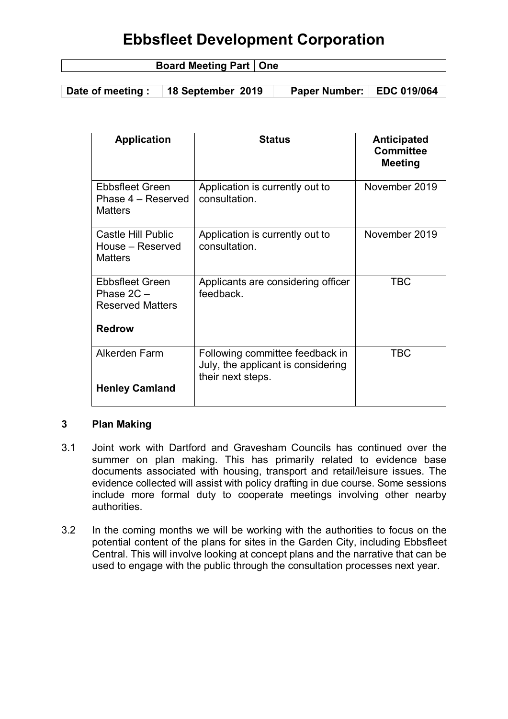| <b>Board Meeting F</b><br>y Fall . | ∣ One |
|------------------------------------|-------|
|                                    |       |

**Date of meeting : 18 September 2019 Paper Number: EDC 019/064**

| <b>Application</b>                                                | <b>Status</b>                                                                              | <b>Anticipated</b><br><b>Committee</b><br><b>Meeting</b> |
|-------------------------------------------------------------------|--------------------------------------------------------------------------------------------|----------------------------------------------------------|
| <b>Ebbsfleet Green</b><br>Phase 4 – Reserved<br><b>Matters</b>    | Application is currently out to<br>consultation.                                           | November 2019                                            |
| Castle Hill Public<br>House - Reserved<br><b>Matters</b>          | Application is currently out to<br>consultation.                                           | November 2019                                            |
| <b>Ebbsfleet Green</b><br>Phase $2C -$<br><b>Reserved Matters</b> | Applicants are considering officer<br>feedback.                                            | <b>TBC</b>                                               |
| <b>Redrow</b>                                                     |                                                                                            |                                                          |
| Alkerden Farm                                                     | Following committee feedback in<br>July, the applicant is considering<br>their next steps. | <b>TBC</b>                                               |
| <b>Henley Camland</b>                                             |                                                                                            |                                                          |

### **3 Plan Making**

- 3.1 Joint work with Dartford and Gravesham Councils has continued over the summer on plan making. This has primarily related to evidence base documents associated with housing, transport and retail/leisure issues. The evidence collected will assist with policy drafting in due course. Some sessions include more formal duty to cooperate meetings involving other nearby authorities.
- 3.2 In the coming months we will be working with the authorities to focus on the potential content of the plans for sites in the Garden City, including Ebbsfleet Central. This will involve looking at concept plans and the narrative that can be used to engage with the public through the consultation processes next year.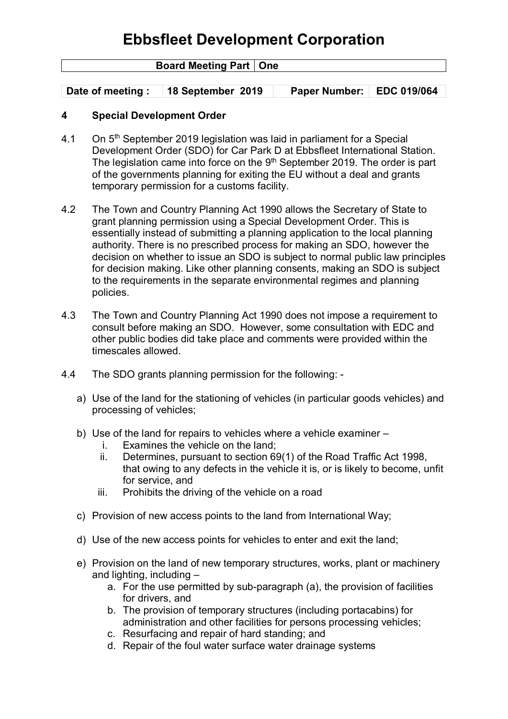| <b>Board Meeting Part   One</b> |                   |                      |                    |
|---------------------------------|-------------------|----------------------|--------------------|
|                                 |                   |                      |                    |
| Date of meeting:                | 18 September 2019 | <b>Paper Number:</b> | <b>EDC 019/064</b> |

### **4 Special Development Order**

- 4.1 On 5<sup>th</sup> September 2019 legislation was laid in parliament for a Special Development Order (SDO) for Car Park D at Ebbsfleet International Station. The legislation came into force on the  $9<sup>th</sup>$  September 2019. The order is part of the governments planning for exiting the EU without a deal and grants temporary permission for a customs facility.
- 4.2 The Town and Country Planning Act 1990 allows the Secretary of State to grant planning permission using a Special Development Order. This is essentially instead of submitting a planning application to the local planning authority. There is no prescribed process for making an SDO, however the decision on whether to issue an SDO is subject to normal public law principles for decision making. Like other planning consents, making an SDO is subject to the requirements in the separate environmental regimes and planning policies.
- 4.3 The Town and Country Planning Act 1990 does not impose a requirement to consult before making an SDO. However, some consultation with EDC and other public bodies did take place and comments were provided within the timescales allowed.
- 4.4 The SDO grants planning permission for the following:
	- a) Use of the land for the stationing of vehicles (in particular goods vehicles) and processing of vehicles;
	- b) Use of the land for repairs to vehicles where a vehicle examiner
		- i. Examines the vehicle on the land;
		- ii. Determines, pursuant to section 69(1) of the Road Traffic Act 1998, that owing to any defects in the vehicle it is, or is likely to become, unfit for service, and
		- iii. Prohibits the driving of the vehicle on a road
	- c) Provision of new access points to the land from International Way;
	- d) Use of the new access points for vehicles to enter and exit the land;
	- e) Provision on the land of new temporary structures, works, plant or machinery and lighting, including –
		- a. For the use permitted by sub-paragraph (a), the provision of facilities for drivers, and
		- b. The provision of temporary structures (including portacabins) for administration and other facilities for persons processing vehicles;
		- c. Resurfacing and repair of hard standing; and
		- d. Repair of the foul water surface water drainage systems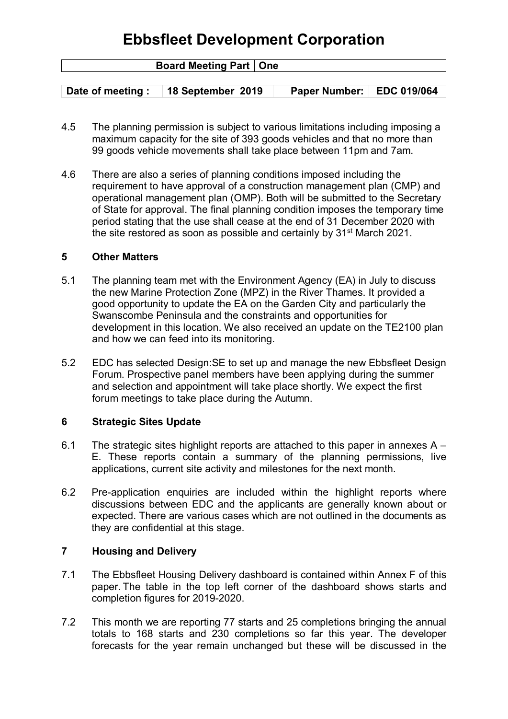| <b>Board Meeting Part   One</b> |                   |                             |  |
|---------------------------------|-------------------|-----------------------------|--|
|                                 |                   |                             |  |
| Date of meeting : $\Box$        | 18 September 2019 | Paper Number:   EDC 019/064 |  |

- 4.5 The planning permission is subject to various limitations including imposing a maximum capacity for the site of 393 goods vehicles and that no more than 99 goods vehicle movements shall take place between 11pm and 7am.
- 4.6 There are also a series of planning conditions imposed including the requirement to have approval of a construction management plan (CMP) and operational management plan (OMP). Both will be submitted to the Secretary of State for approval. The final planning condition imposes the temporary time period stating that the use shall cease at the end of 31 December 2020 with the site restored as soon as possible and certainly by 31st March 2021.

#### **5 Other Matters**

- 5.1 The planning team met with the Environment Agency (EA) in July to discuss the new Marine Protection Zone (MPZ) in the River Thames. It provided a good opportunity to update the EA on the Garden City and particularly the Swanscombe Peninsula and the constraints and opportunities for development in this location. We also received an update on the TE2100 plan and how we can feed into its monitoring.
- 5.2 EDC has selected Design:SE to set up and manage the new Ebbsfleet Design Forum. Prospective panel members have been applying during the summer and selection and appointment will take place shortly. We expect the first forum meetings to take place during the Autumn.

#### **6 Strategic Sites Update**

- 6.1 The strategic sites highlight reports are attached to this paper in annexes  $A -$ E. These reports contain a summary of the planning permissions, live applications, current site activity and milestones for the next month.
- 6.2 Pre-application enquiries are included within the highlight reports where discussions between EDC and the applicants are generally known about or expected. There are various cases which are not outlined in the documents as they are confidential at this stage.

### **7 Housing and Delivery**

- 7.1 The Ebbsfleet Housing Delivery dashboard is contained within Annex F of this paper. The table in the top left corner of the dashboard shows starts and completion figures for 2019-2020.
- 7.2 This month we are reporting 77 starts and 25 completions bringing the annual totals to 168 starts and 230 completions so far this year. The developer forecasts for the year remain unchanged but these will be discussed in the